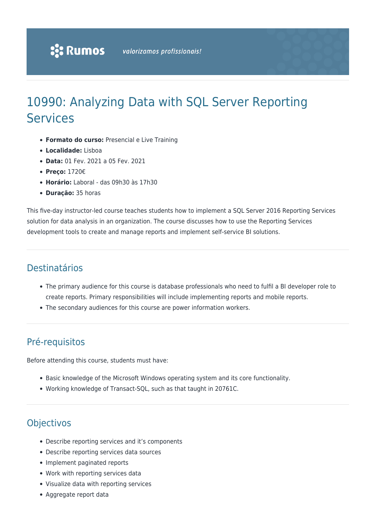# 10990: Analyzing Data with SQL Server Reporting Services

- **Formato do curso:** Presencial e Live Training
- **Localidade:** Lisboa
- **Data:** 01 Fev. 2021 a 05 Fev. 2021
- **Preço:** 1720€
- **Horário:** Laboral das 09h30 às 17h30
- **Duração:** 35 horas

This five-day instructor-led course teaches students how to implement a SQL Server 2016 Reporting Services solution for data analysis in an organization. The course discusses how to use the Reporting Services development tools to create and manage reports and implement self-service BI solutions.

# Destinatários

- The primary audience for this course is database professionals who need to fulfil a BI developer role to create reports. Primary responsibilities will include implementing reports and mobile reports.
- The secondary audiences for this course are power information workers.

# Pré-requisitos

Before attending this course, students must have:

- Basic knowledge of the Microsoft Windows operating system and its core functionality.
- Working knowledge of Transact-SQL, such as that taught in 20761C.

# **Objectivos**

- Describe reporting services and it's components
- Describe reporting services data sources
- Implement paginated reports
- Work with reporting services data
- Visualize data with reporting services
- Aggregate report data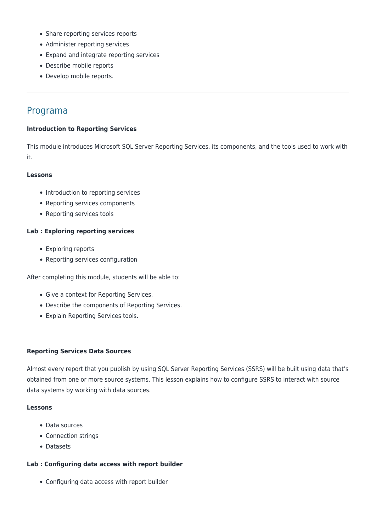- Share reporting services reports
- Administer reporting services
- Expand and integrate reporting services
- Describe mobile reports
- Develop mobile reports.

# Programa

# **Introduction to Reporting Services**

This module introduces Microsoft SQL Server Reporting Services, its components, and the tools used to work with it.

# **Lessons**

- Introduction to reporting services
- Reporting services components
- Reporting services tools

# **Lab : Exploring reporting services**

- Exploring reports
- Reporting services configuration

After completing this module, students will be able to:

- Give a context for Reporting Services.
- Describe the components of Reporting Services.
- Explain Reporting Services tools.

# **Reporting Services Data Sources**

Almost every report that you publish by using SQL Server Reporting Services (SSRS) will be built using data that's obtained from one or more source systems. This lesson explains how to configure SSRS to interact with source data systems by working with data sources.

# **Lessons**

- Data sources
- Connection strings
- Datasets

# **Lab : Configuring data access with report builder**

Configuring data access with report builder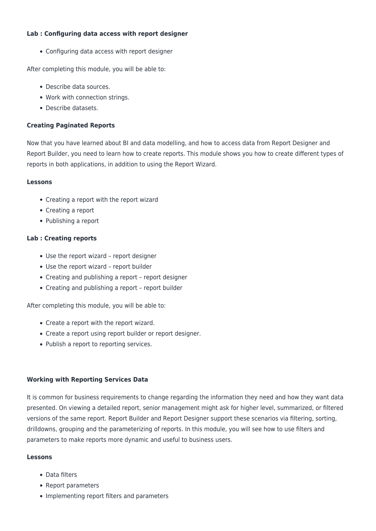# **Lab : Configuring data access with report designer**

Configuring data access with report designer

After completing this module, you will be able to:

- Describe data sources.
- Work with connection strings.
- Describe datasets.

# **Creating Paginated Reports**

Now that you have learned about BI and data modelling, and how to access data from Report Designer and Report Builder, you need to learn how to create reports. This module shows you how to create different types of reports in both applications, in addition to using the Report Wizard.

# **Lessons**

- Creating a report with the report wizard
- Creating a report
- Publishing a report

# **Lab : Creating reports**

- Use the report wizard report designer
- Use the report wizard report builder
- Creating and publishing a report report designer
- Creating and publishing a report report builder

After completing this module, you will be able to:

- Create a report with the report wizard.
- Create a report using report builder or report designer.
- Publish a report to reporting services.

# **Working with Reporting Services Data**

It is common for business requirements to change regarding the information they need and how they want data presented. On viewing a detailed report, senior management might ask for higher level, summarized, or filtered versions of the same report. Report Builder and Report Designer support these scenarios via filtering, sorting, drilldowns, grouping and the parameterizing of reports. In this module, you will see how to use filters and parameters to make reports more dynamic and useful to business users.

# **Lessons**

- Data filters
- Report parameters
- Implementing report filters and parameters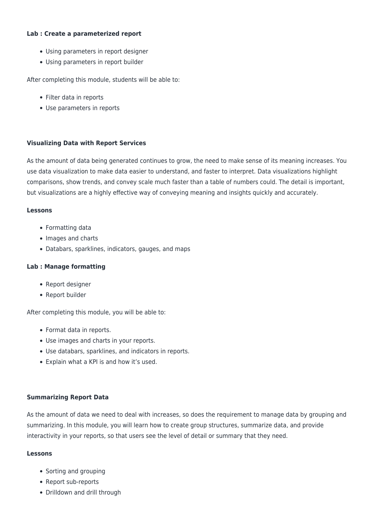# **Lab : Create a parameterized report**

- Using parameters in report designer
- Using parameters in report builder

After completing this module, students will be able to:

- Filter data in reports
- Use parameters in reports

# **Visualizing Data with Report Services**

As the amount of data being generated continues to grow, the need to make sense of its meaning increases. You use data visualization to make data easier to understand, and faster to interpret. Data visualizations highlight comparisons, show trends, and convey scale much faster than a table of numbers could. The detail is important, but visualizations are a highly effective way of conveying meaning and insights quickly and accurately.

# **Lessons**

- Formatting data
- Images and charts
- Databars, sparklines, indicators, gauges, and maps

# **Lab : Manage formatting**

- Report designer
- Report builder

After completing this module, you will be able to:

- Format data in reports.
- Use images and charts in your reports.
- Use databars, sparklines, and indicators in reports.
- Explain what a KPI is and how it's used.

# **Summarizing Report Data**

As the amount of data we need to deal with increases, so does the requirement to manage data by grouping and summarizing. In this module, you will learn how to create group structures, summarize data, and provide interactivity in your reports, so that users see the level of detail or summary that they need.

# **Lessons**

- Sorting and grouping
- Report sub-reports
- Drilldown and drill through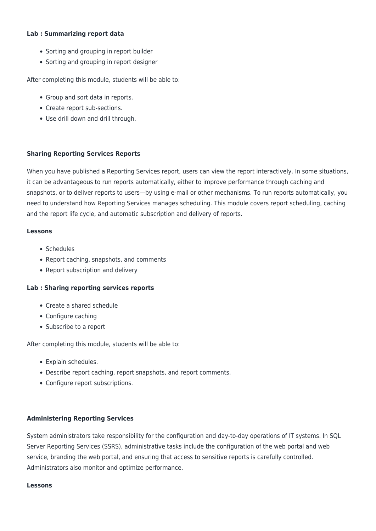# **Lab : Summarizing report data**

- Sorting and grouping in report builder
- Sorting and grouping in report designer

After completing this module, students will be able to:

- Group and sort data in reports.
- Create report sub-sections.
- Use drill down and drill through.

# **Sharing Reporting Services Reports**

When you have published a Reporting Services report, users can view the report interactively. In some situations, it can be advantageous to run reports automatically, either to improve performance through caching and snapshots, or to deliver reports to users—by using e-mail or other mechanisms. To run reports automatically, you need to understand how Reporting Services manages scheduling. This module covers report scheduling, caching and the report life cycle, and automatic subscription and delivery of reports.

# **Lessons**

- Schedules
- Report caching, snapshots, and comments
- Report subscription and delivery

# **Lab : Sharing reporting services reports**

- Create a shared schedule
- Configure caching
- Subscribe to a report

After completing this module, students will be able to:

- Explain schedules.
- Describe report caching, report snapshots, and report comments.
- Configure report subscriptions.

# **Administering Reporting Services**

System administrators take responsibility for the configuration and day-to-day operations of IT systems. In SQL Server Reporting Services (SSRS), administrative tasks include the configuration of the web portal and web service, branding the web portal, and ensuring that access to sensitive reports is carefully controlled. Administrators also monitor and optimize performance.

# **Lessons**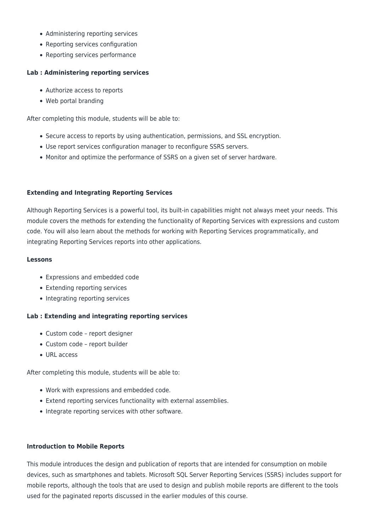- Administering reporting services
- Reporting services configuration
- Reporting services performance

# **Lab : Administering reporting services**

- Authorize access to reports
- Web portal branding

After completing this module, students will be able to:

- Secure access to reports by using authentication, permissions, and SSL encryption.
- Use report services configuration manager to reconfigure SSRS servers.
- Monitor and optimize the performance of SSRS on a given set of server hardware.

# **Extending and Integrating Reporting Services**

Although Reporting Services is a powerful tool, its built-in capabilities might not always meet your needs. This module covers the methods for extending the functionality of Reporting Services with expressions and custom code. You will also learn about the methods for working with Reporting Services programmatically, and integrating Reporting Services reports into other applications.

# **Lessons**

- Expressions and embedded code
- Extending reporting services
- Integrating reporting services

# **Lab : Extending and integrating reporting services**

- Custom code report designer
- Custom code report builder
- URL access

After completing this module, students will be able to:

- Work with expressions and embedded code.
- Extend reporting services functionality with external assemblies.
- Integrate reporting services with other software.

# **Introduction to Mobile Reports**

This module introduces the design and publication of reports that are intended for consumption on mobile devices, such as smartphones and tablets. Microsoft SQL Server Reporting Services (SSRS) includes support for mobile reports, although the tools that are used to design and publish mobile reports are different to the tools used for the paginated reports discussed in the earlier modules of this course.